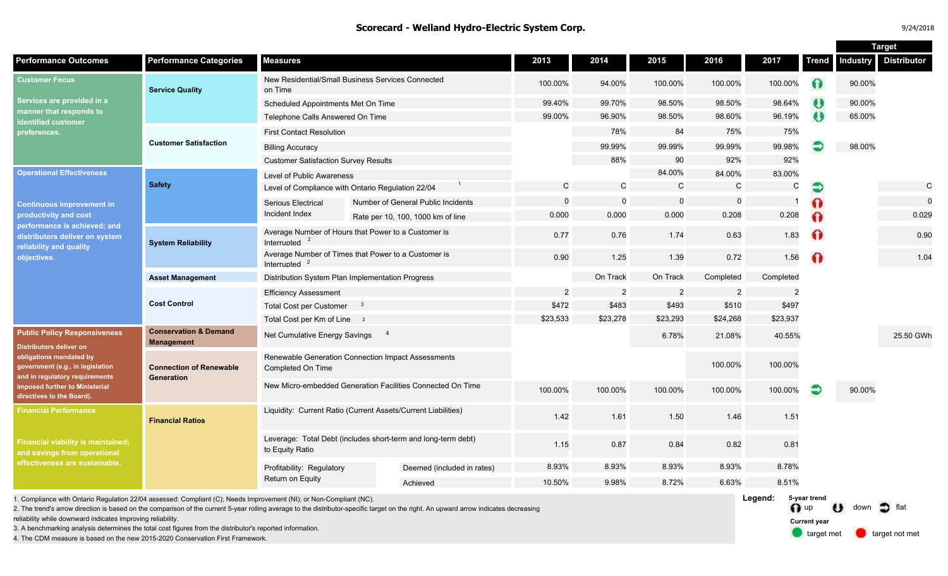|  | 9/24/2018 |  |  |
|--|-----------|--|--|
|  |           |  |  |

**Target** 

| <b>Distributor</b><br><b>Performance Categories</b><br><b>Measures</b><br>2013<br>2014<br>2015<br>2016<br>2017<br><b>Trend</b><br><b>Industry</b><br>New Residential/Small Business Services Connected<br>$\bullet$<br>100.00%<br>94.00%<br>100.00%<br>100.00%<br>100.00%<br>90.00%<br><b>Service Quality</b><br>on Time<br>$\mathbf{U}$<br>99.40%<br>99.70%<br>98.50%<br>98.50%<br>98.64%<br>90.00%<br>Scheduled Appointments Met On Time<br>96.19%<br>$\theta$<br>98.60%<br>65.00%<br>99.00%<br>96.90%<br>98.50%<br>Telephone Calls Answered On Time<br>identified customer<br>75%<br>78%<br>84<br>75%<br><b>First Contact Resolution</b><br>preferences.<br><b>Customer Satisfaction</b><br>99.98%<br>99.99%<br>99.99%<br>99.99%<br>98.00%<br><b>Billing Accuracy</b><br>92%<br>88%<br>90<br>92%<br><b>Customer Satisfaction Survey Results</b><br>84.00%<br>83.00%<br>84.00%<br>Level of Public Awareness<br><b>Safety</b><br>$\mathsf C$<br>$\mathcal{C}$<br>$\mathsf C$<br>${\bf C}$<br>$\mathsf C$<br>C<br>Level of Compliance with Ontario Regulation 22/04<br>€<br>$\mathbf 0$<br>$\mathbf 0$<br>$\Omega$<br>$\mathbf 0$<br>$\Omega$<br>Number of General Public Incidents<br><b>Serious Electrical</b><br>Incident Index<br>0.208<br>0.000<br>0.000<br>0.000<br>0.208<br>0.029<br>$\Omega$<br>Rate per 10, 100, 1000 km of line<br>Average Number of Hours that Power to a Customer is<br>$\Omega$<br>1.83<br>0.77<br>0.63<br>0.76<br>1.74<br>0.90<br>Interrupted<br><b>System Reliability</b><br>Average Number of Times that Power to a Customer is<br>0.72<br>1.56<br>$\Omega$<br>0.90<br>1.25<br>1.39<br>1.04<br>Interrupted $2$<br>On Track<br>On Track<br>Completed<br>Distribution System Plan Implementation Progress<br>Completed<br><b>Asset Management</b><br>$\overline{2}$<br>$\overline{c}$<br>$\overline{2}$<br>$\overline{2}$<br>$\overline{2}$<br><b>Efficiency Assessment</b><br><b>Cost Control</b><br>\$497<br>\$472<br>\$483<br>\$493<br>\$510<br><b>Total Cost per Customer</b><br>$\mathbf{3}$<br>\$23,278<br>\$23,293<br>\$24,268<br>\$23,533<br>\$23,937<br>Total Cost per Km of Line 3<br><b>Conservation &amp; Demand</b><br>$\overline{4}$<br>Net Cumulative Energy Savings<br>6.78%<br>21.08%<br>40.55%<br>25.50 GWh<br><b>Management</b><br>Renewable Generation Connection Impact Assessments<br>100.00%<br>100.00%<br><b>Connection of Renewable</b><br>Completed On Time<br>Generation<br>New Micro-embedded Generation Facilities Connected On Time<br>100.00%<br>100.00%<br>100.00%<br>100.00%<br>100.00%<br>90.00%<br>Liquidity: Current Ratio (Current Assets/Current Liabilities)<br>1.42<br>1.61<br>1.50<br>1.51<br>1.46<br><b>Financial Ratios</b><br>Leverage: Total Debt (includes short-term and long-term debt)<br>1.15<br>0.87<br>0.84<br>0.82<br>0.81<br>to Equity Ratio<br>8.78%<br>8.93%<br>8.93%<br>8.93%<br>8.93%<br>Profitability: Regulatory<br>Deemed (included in rates) |                                                                                                                                                                                                                                       |  |                  |  |        |       |       |       |       |  | rar yet |
|------------------------------------------------------------------------------------------------------------------------------------------------------------------------------------------------------------------------------------------------------------------------------------------------------------------------------------------------------------------------------------------------------------------------------------------------------------------------------------------------------------------------------------------------------------------------------------------------------------------------------------------------------------------------------------------------------------------------------------------------------------------------------------------------------------------------------------------------------------------------------------------------------------------------------------------------------------------------------------------------------------------------------------------------------------------------------------------------------------------------------------------------------------------------------------------------------------------------------------------------------------------------------------------------------------------------------------------------------------------------------------------------------------------------------------------------------------------------------------------------------------------------------------------------------------------------------------------------------------------------------------------------------------------------------------------------------------------------------------------------------------------------------------------------------------------------------------------------------------------------------------------------------------------------------------------------------------------------------------------------------------------------------------------------------------------------------------------------------------------------------------------------------------------------------------------------------------------------------------------------------------------------------------------------------------------------------------------------------------------------------------------------------------------------------------------------------------------------------------------------------------------------------------------------------------------------------------------------------------------------------------------------------------------------------------------------------------------------------------------------------------------------------------------------------------------------------------------------------------------------------------------------------------------------------------------|---------------------------------------------------------------------------------------------------------------------------------------------------------------------------------------------------------------------------------------|--|------------------|--|--------|-------|-------|-------|-------|--|---------|
|                                                                                                                                                                                                                                                                                                                                                                                                                                                                                                                                                                                                                                                                                                                                                                                                                                                                                                                                                                                                                                                                                                                                                                                                                                                                                                                                                                                                                                                                                                                                                                                                                                                                                                                                                                                                                                                                                                                                                                                                                                                                                                                                                                                                                                                                                                                                                                                                                                                                                                                                                                                                                                                                                                                                                                                                                                                                                                                                          | <b>Performance Outcomes</b>                                                                                                                                                                                                           |  |                  |  |        |       |       |       |       |  |         |
|                                                                                                                                                                                                                                                                                                                                                                                                                                                                                                                                                                                                                                                                                                                                                                                                                                                                                                                                                                                                                                                                                                                                                                                                                                                                                                                                                                                                                                                                                                                                                                                                                                                                                                                                                                                                                                                                                                                                                                                                                                                                                                                                                                                                                                                                                                                                                                                                                                                                                                                                                                                                                                                                                                                                                                                                                                                                                                                                          | <b>Customer Focus</b><br>Services are provided in a<br>manner that responds to                                                                                                                                                        |  |                  |  |        |       |       |       |       |  |         |
|                                                                                                                                                                                                                                                                                                                                                                                                                                                                                                                                                                                                                                                                                                                                                                                                                                                                                                                                                                                                                                                                                                                                                                                                                                                                                                                                                                                                                                                                                                                                                                                                                                                                                                                                                                                                                                                                                                                                                                                                                                                                                                                                                                                                                                                                                                                                                                                                                                                                                                                                                                                                                                                                                                                                                                                                                                                                                                                                          |                                                                                                                                                                                                                                       |  |                  |  |        |       |       |       |       |  |         |
|                                                                                                                                                                                                                                                                                                                                                                                                                                                                                                                                                                                                                                                                                                                                                                                                                                                                                                                                                                                                                                                                                                                                                                                                                                                                                                                                                                                                                                                                                                                                                                                                                                                                                                                                                                                                                                                                                                                                                                                                                                                                                                                                                                                                                                                                                                                                                                                                                                                                                                                                                                                                                                                                                                                                                                                                                                                                                                                                          |                                                                                                                                                                                                                                       |  |                  |  |        |       |       |       |       |  |         |
|                                                                                                                                                                                                                                                                                                                                                                                                                                                                                                                                                                                                                                                                                                                                                                                                                                                                                                                                                                                                                                                                                                                                                                                                                                                                                                                                                                                                                                                                                                                                                                                                                                                                                                                                                                                                                                                                                                                                                                                                                                                                                                                                                                                                                                                                                                                                                                                                                                                                                                                                                                                                                                                                                                                                                                                                                                                                                                                                          |                                                                                                                                                                                                                                       |  |                  |  |        |       |       |       |       |  |         |
|                                                                                                                                                                                                                                                                                                                                                                                                                                                                                                                                                                                                                                                                                                                                                                                                                                                                                                                                                                                                                                                                                                                                                                                                                                                                                                                                                                                                                                                                                                                                                                                                                                                                                                                                                                                                                                                                                                                                                                                                                                                                                                                                                                                                                                                                                                                                                                                                                                                                                                                                                                                                                                                                                                                                                                                                                                                                                                                                          |                                                                                                                                                                                                                                       |  |                  |  |        |       |       |       |       |  |         |
|                                                                                                                                                                                                                                                                                                                                                                                                                                                                                                                                                                                                                                                                                                                                                                                                                                                                                                                                                                                                                                                                                                                                                                                                                                                                                                                                                                                                                                                                                                                                                                                                                                                                                                                                                                                                                                                                                                                                                                                                                                                                                                                                                                                                                                                                                                                                                                                                                                                                                                                                                                                                                                                                                                                                                                                                                                                                                                                                          |                                                                                                                                                                                                                                       |  |                  |  |        |       |       |       |       |  |         |
|                                                                                                                                                                                                                                                                                                                                                                                                                                                                                                                                                                                                                                                                                                                                                                                                                                                                                                                                                                                                                                                                                                                                                                                                                                                                                                                                                                                                                                                                                                                                                                                                                                                                                                                                                                                                                                                                                                                                                                                                                                                                                                                                                                                                                                                                                                                                                                                                                                                                                                                                                                                                                                                                                                                                                                                                                                                                                                                                          | <b>Operational Effectiveness</b>                                                                                                                                                                                                      |  |                  |  |        |       |       |       |       |  |         |
|                                                                                                                                                                                                                                                                                                                                                                                                                                                                                                                                                                                                                                                                                                                                                                                                                                                                                                                                                                                                                                                                                                                                                                                                                                                                                                                                                                                                                                                                                                                                                                                                                                                                                                                                                                                                                                                                                                                                                                                                                                                                                                                                                                                                                                                                                                                                                                                                                                                                                                                                                                                                                                                                                                                                                                                                                                                                                                                                          |                                                                                                                                                                                                                                       |  |                  |  |        |       |       |       |       |  |         |
|                                                                                                                                                                                                                                                                                                                                                                                                                                                                                                                                                                                                                                                                                                                                                                                                                                                                                                                                                                                                                                                                                                                                                                                                                                                                                                                                                                                                                                                                                                                                                                                                                                                                                                                                                                                                                                                                                                                                                                                                                                                                                                                                                                                                                                                                                                                                                                                                                                                                                                                                                                                                                                                                                                                                                                                                                                                                                                                                          | <b>Continuous improvement in</b>                                                                                                                                                                                                      |  |                  |  |        |       |       |       |       |  |         |
|                                                                                                                                                                                                                                                                                                                                                                                                                                                                                                                                                                                                                                                                                                                                                                                                                                                                                                                                                                                                                                                                                                                                                                                                                                                                                                                                                                                                                                                                                                                                                                                                                                                                                                                                                                                                                                                                                                                                                                                                                                                                                                                                                                                                                                                                                                                                                                                                                                                                                                                                                                                                                                                                                                                                                                                                                                                                                                                                          | productivity and cost                                                                                                                                                                                                                 |  |                  |  |        |       |       |       |       |  |         |
|                                                                                                                                                                                                                                                                                                                                                                                                                                                                                                                                                                                                                                                                                                                                                                                                                                                                                                                                                                                                                                                                                                                                                                                                                                                                                                                                                                                                                                                                                                                                                                                                                                                                                                                                                                                                                                                                                                                                                                                                                                                                                                                                                                                                                                                                                                                                                                                                                                                                                                                                                                                                                                                                                                                                                                                                                                                                                                                                          | performance is achieved; and<br>distributors deliver on system<br>reliability and quality<br>objectives.                                                                                                                              |  |                  |  |        |       |       |       |       |  |         |
|                                                                                                                                                                                                                                                                                                                                                                                                                                                                                                                                                                                                                                                                                                                                                                                                                                                                                                                                                                                                                                                                                                                                                                                                                                                                                                                                                                                                                                                                                                                                                                                                                                                                                                                                                                                                                                                                                                                                                                                                                                                                                                                                                                                                                                                                                                                                                                                                                                                                                                                                                                                                                                                                                                                                                                                                                                                                                                                                          |                                                                                                                                                                                                                                       |  |                  |  |        |       |       |       |       |  |         |
|                                                                                                                                                                                                                                                                                                                                                                                                                                                                                                                                                                                                                                                                                                                                                                                                                                                                                                                                                                                                                                                                                                                                                                                                                                                                                                                                                                                                                                                                                                                                                                                                                                                                                                                                                                                                                                                                                                                                                                                                                                                                                                                                                                                                                                                                                                                                                                                                                                                                                                                                                                                                                                                                                                                                                                                                                                                                                                                                          |                                                                                                                                                                                                                                       |  |                  |  |        |       |       |       |       |  |         |
|                                                                                                                                                                                                                                                                                                                                                                                                                                                                                                                                                                                                                                                                                                                                                                                                                                                                                                                                                                                                                                                                                                                                                                                                                                                                                                                                                                                                                                                                                                                                                                                                                                                                                                                                                                                                                                                                                                                                                                                                                                                                                                                                                                                                                                                                                                                                                                                                                                                                                                                                                                                                                                                                                                                                                                                                                                                                                                                                          |                                                                                                                                                                                                                                       |  |                  |  |        |       |       |       |       |  |         |
|                                                                                                                                                                                                                                                                                                                                                                                                                                                                                                                                                                                                                                                                                                                                                                                                                                                                                                                                                                                                                                                                                                                                                                                                                                                                                                                                                                                                                                                                                                                                                                                                                                                                                                                                                                                                                                                                                                                                                                                                                                                                                                                                                                                                                                                                                                                                                                                                                                                                                                                                                                                                                                                                                                                                                                                                                                                                                                                                          |                                                                                                                                                                                                                                       |  |                  |  |        |       |       |       |       |  |         |
|                                                                                                                                                                                                                                                                                                                                                                                                                                                                                                                                                                                                                                                                                                                                                                                                                                                                                                                                                                                                                                                                                                                                                                                                                                                                                                                                                                                                                                                                                                                                                                                                                                                                                                                                                                                                                                                                                                                                                                                                                                                                                                                                                                                                                                                                                                                                                                                                                                                                                                                                                                                                                                                                                                                                                                                                                                                                                                                                          |                                                                                                                                                                                                                                       |  |                  |  |        |       |       |       |       |  |         |
|                                                                                                                                                                                                                                                                                                                                                                                                                                                                                                                                                                                                                                                                                                                                                                                                                                                                                                                                                                                                                                                                                                                                                                                                                                                                                                                                                                                                                                                                                                                                                                                                                                                                                                                                                                                                                                                                                                                                                                                                                                                                                                                                                                                                                                                                                                                                                                                                                                                                                                                                                                                                                                                                                                                                                                                                                                                                                                                                          | <b>Public Policy Responsiveness</b><br><b>Distributors deliver on</b><br>obligations mandated by<br>government (e.g., in legislation<br>and in regulatory requirements<br>imposed further to Ministerial<br>directives to the Board). |  |                  |  |        |       |       |       |       |  |         |
|                                                                                                                                                                                                                                                                                                                                                                                                                                                                                                                                                                                                                                                                                                                                                                                                                                                                                                                                                                                                                                                                                                                                                                                                                                                                                                                                                                                                                                                                                                                                                                                                                                                                                                                                                                                                                                                                                                                                                                                                                                                                                                                                                                                                                                                                                                                                                                                                                                                                                                                                                                                                                                                                                                                                                                                                                                                                                                                                          |                                                                                                                                                                                                                                       |  |                  |  |        |       |       |       |       |  |         |
|                                                                                                                                                                                                                                                                                                                                                                                                                                                                                                                                                                                                                                                                                                                                                                                                                                                                                                                                                                                                                                                                                                                                                                                                                                                                                                                                                                                                                                                                                                                                                                                                                                                                                                                                                                                                                                                                                                                                                                                                                                                                                                                                                                                                                                                                                                                                                                                                                                                                                                                                                                                                                                                                                                                                                                                                                                                                                                                                          |                                                                                                                                                                                                                                       |  |                  |  |        |       |       |       |       |  |         |
|                                                                                                                                                                                                                                                                                                                                                                                                                                                                                                                                                                                                                                                                                                                                                                                                                                                                                                                                                                                                                                                                                                                                                                                                                                                                                                                                                                                                                                                                                                                                                                                                                                                                                                                                                                                                                                                                                                                                                                                                                                                                                                                                                                                                                                                                                                                                                                                                                                                                                                                                                                                                                                                                                                                                                                                                                                                                                                                                          | <b>Financial Performance</b><br>Financial viability is maintained;<br>and savings from operational<br>effectiveness are sustainable.                                                                                                  |  |                  |  |        |       |       |       |       |  |         |
|                                                                                                                                                                                                                                                                                                                                                                                                                                                                                                                                                                                                                                                                                                                                                                                                                                                                                                                                                                                                                                                                                                                                                                                                                                                                                                                                                                                                                                                                                                                                                                                                                                                                                                                                                                                                                                                                                                                                                                                                                                                                                                                                                                                                                                                                                                                                                                                                                                                                                                                                                                                                                                                                                                                                                                                                                                                                                                                                          |                                                                                                                                                                                                                                       |  |                  |  |        |       |       |       |       |  |         |
|                                                                                                                                                                                                                                                                                                                                                                                                                                                                                                                                                                                                                                                                                                                                                                                                                                                                                                                                                                                                                                                                                                                                                                                                                                                                                                                                                                                                                                                                                                                                                                                                                                                                                                                                                                                                                                                                                                                                                                                                                                                                                                                                                                                                                                                                                                                                                                                                                                                                                                                                                                                                                                                                                                                                                                                                                                                                                                                                          |                                                                                                                                                                                                                                       |  | Return on Equity |  |        |       |       |       |       |  |         |
| Achieved                                                                                                                                                                                                                                                                                                                                                                                                                                                                                                                                                                                                                                                                                                                                                                                                                                                                                                                                                                                                                                                                                                                                                                                                                                                                                                                                                                                                                                                                                                                                                                                                                                                                                                                                                                                                                                                                                                                                                                                                                                                                                                                                                                                                                                                                                                                                                                                                                                                                                                                                                                                                                                                                                                                                                                                                                                                                                                                                 |                                                                                                                                                                                                                                       |  |                  |  | 10.50% | 9.98% | 8.72% | 6.63% | 8.51% |  |         |

1. Compliance with Ontario Regulation 22/04 assessed: Compliant (C); Needs Improvement (NI); or Non-Compliant (NC).

2. The trend's arrow direction is based on the comparison of the current 5-year rolling average to the distributor-specific target on the right. An upward arrow indicates decreasing

reliability while downward indicates improving reliability.

3. A benchmarking analysis determines the total cost figures from the distributor's reported information.

4. The CDM measure is based on the new 2015-2020 Conservation First Framework.

**Legend:** n up U down  $\supset$  flat target met **target not met 5-year trend Current year**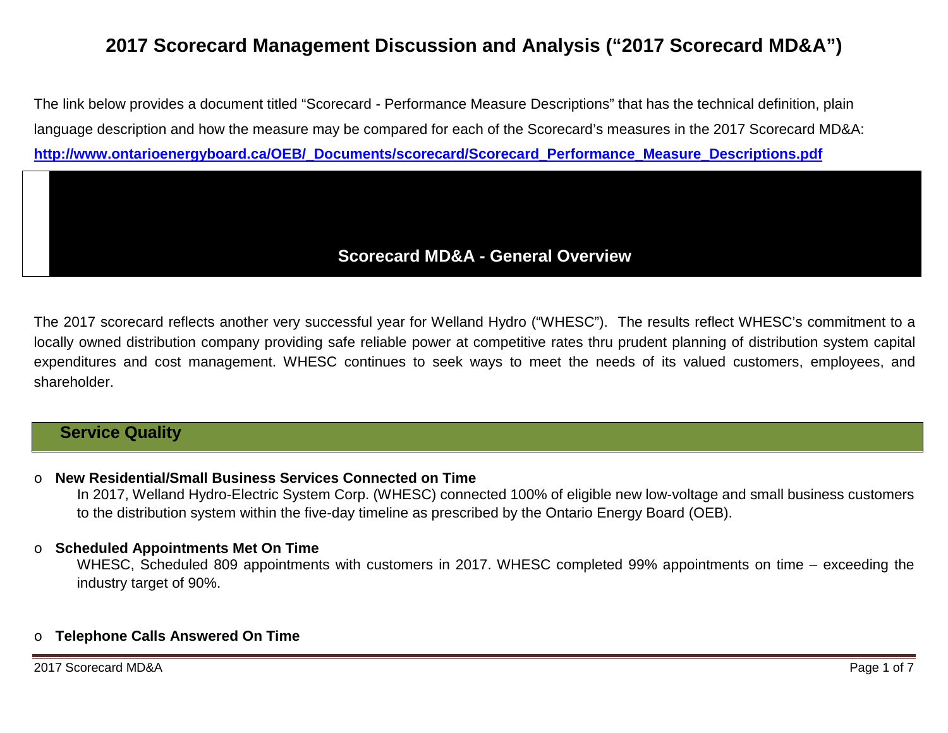# **2017 Scorecard Management Discussion and Analysis ("2017 Scorecard MD&A")**

The link below provides a document titled "Scorecard - Performance Measure Descriptions" that has the technical definition, plain language description and how the measure may be compared for each of the Scorecard's measures in the 2017 Scorecard MD&A: **[http://www.ontarioenergyboard.ca/OEB/\\_Documents/scorecard/Scorecard\\_Performance\\_Measure\\_Descriptions.pdf](http://www.ontarioenergyboard.ca/OEB/_Documents/scorecard/Scorecard_Performance_Measure_Descriptions.pdf)**

# **Scorecard MD&A - General Overview**

The 2017 scorecard reflects another very successful year for Welland Hydro ("WHESC"). The results reflect WHESC's commitment to a locally owned distribution company providing safe reliable power at competitive rates thru prudent planning of distribution system capital expenditures and cost management. WHESC continues to seek ways to meet the needs of its valued customers, employees, and shareholder.

# **Service Quality**

#### o **New Residential/Small Business Services Connected on Time**

In 2017, Welland Hydro-Electric System Corp. (WHESC) connected 100% of eligible new low-voltage and small business customers to the distribution system within the five-day timeline as prescribed by the Ontario Energy Board (OEB).

#### o **Scheduled Appointments Met On Time**

WHESC, Scheduled 809 appointments with customers in 2017. WHESC completed 99% appointments on time – exceeding the industry target of 90%.

### o **Telephone Calls Answered On Time**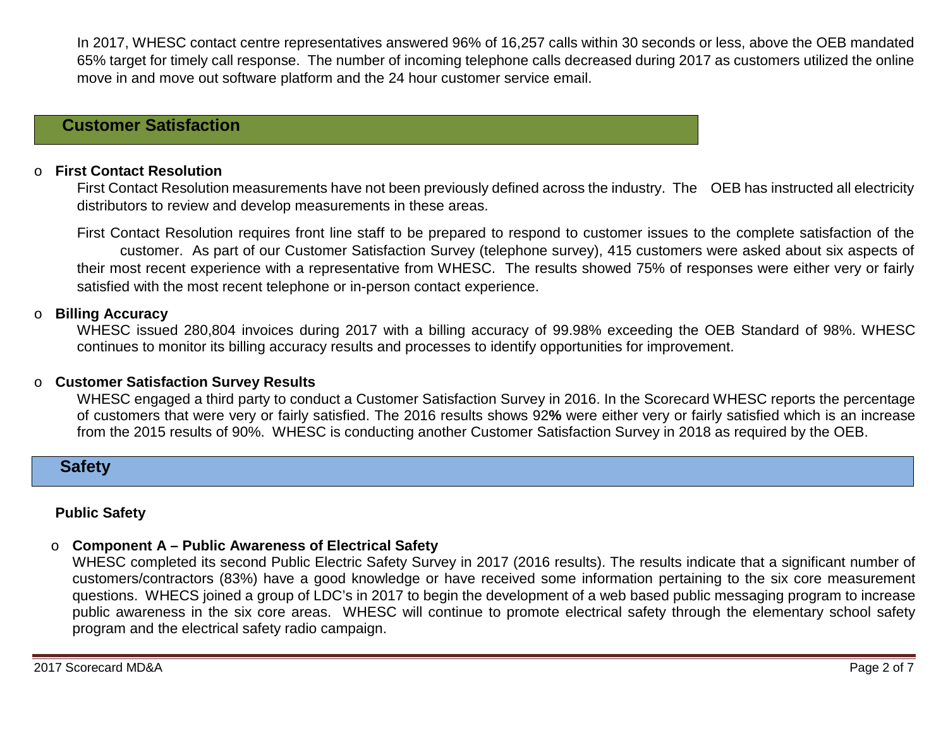In 2017, WHESC contact centre representatives answered 96% of 16,257 calls within 30 seconds or less, above the OEB mandated 65% target for timely call response. The number of incoming telephone calls decreased during 2017 as customers utilized the online move in and move out software platform and the 24 hour customer service email.

# **Customer Satisfaction**

### o **First Contact Resolution**

First Contact Resolution measurements have not been previously defined across the industry. The OEB has instructed all electricity distributors to review and develop measurements in these areas.

First Contact Resolution requires front line staff to be prepared to respond to customer issues to the complete satisfaction of the customer. As part of our Customer Satisfaction Survey (telephone survey), 415 customers were asked about six aspects of their most recent experience with a representative from WHESC. The results showed 75% of responses were either very or fairly satisfied with the most recent telephone or in-person contact experience.

#### o **Billing Accuracy**

WHESC issued 280,804 invoices during 2017 with a billing accuracy of 99.98% exceeding the OEB Standard of 98%. WHESC continues to monitor its billing accuracy results and processes to identify opportunities for improvement.

#### o **Customer Satisfaction Survey Results**

WHESC engaged a third party to conduct a Customer Satisfaction Survey in 2016. In the Scorecard WHESC reports the percentage of customers that were very or fairly satisfied. The 2016 results shows 92**%** were either very or fairly satisfied which is an increase from the 2015 results of 90%. WHESC is conducting another Customer Satisfaction Survey in 2018 as required by the OEB.

### **Safety**

### **Public Safety**

#### o **Component A – Public Awareness of Electrical Safety**

WHESC completed its second Public Electric Safety Survey in 2017 (2016 results). The results indicate that a significant number of customers/contractors (83%) have a good knowledge or have received some information pertaining to the six core measurement questions. WHECS joined a group of LDC's in 2017 to begin the development of a web based public messaging program to increase public awareness in the six core areas. WHESC will continue to promote electrical safety through the elementary school safety program and the electrical safety radio campaign.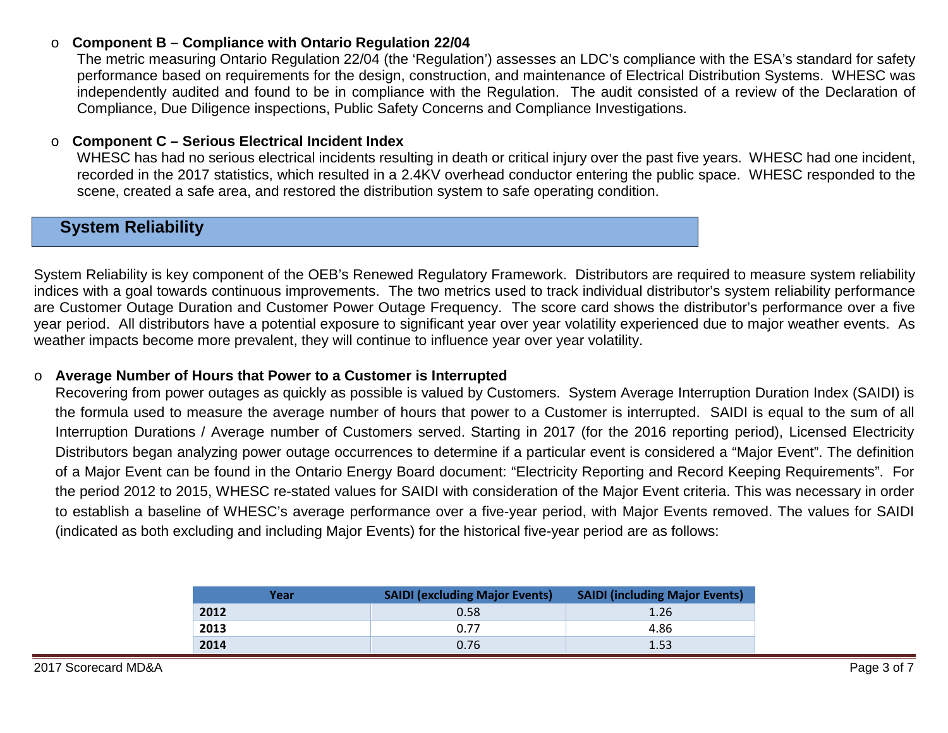### o **Component B – Compliance with Ontario Regulation 22/04**

The metric measuring Ontario Regulation 22/04 (the 'Regulation') assesses an LDC's compliance with the ESA's standard for safety performance based on requirements for the design, construction, and maintenance of Electrical Distribution Systems. WHESC was independently audited and found to be in compliance with the Regulation. The audit consisted of a review of the Declaration of Compliance, Due Diligence inspections, Public Safety Concerns and Compliance Investigations.

#### o **Component C – Serious Electrical Incident Index**

WHESC has had no serious electrical incidents resulting in death or critical injury over the past five years. WHESC had one incident, recorded in the 2017 statistics, which resulted in a 2.4KV overhead conductor entering the public space. WHESC responded to the scene, created a safe area, and restored the distribution system to safe operating condition.

# **System Reliability**

System Reliability is key component of the OEB's Renewed Regulatory Framework. Distributors are required to measure system reliability indices with a goal towards continuous improvements. The two metrics used to track individual distributor's system reliability performance are Customer Outage Duration and Customer Power Outage Frequency. The score card shows the distributor's performance over a five year period. All distributors have a potential exposure to significant year over year volatility experienced due to major weather events. As weather impacts become more prevalent, they will continue to influence year over year volatility.

#### o **Average Number of Hours that Power to a Customer is Interrupted**

Recovering from power outages as quickly as possible is valued by Customers. System Average Interruption Duration Index (SAIDI) is the formula used to measure the average number of hours that power to a Customer is interrupted. SAIDI is equal to the sum of all Interruption Durations / Average number of Customers served. Starting in 2017 (for the 2016 reporting period), Licensed Electricity Distributors began analyzing power outage occurrences to determine if a particular event is considered a "Major Event". The definition of a Major Event can be found in the Ontario Energy Board document: "Electricity Reporting and Record Keeping Requirements". For the period 2012 to 2015, WHESC re-stated values for SAIDI with consideration of the Major Event criteria. This was necessary in order to establish a baseline of WHESC's average performance over a five-year period, with Major Events removed. The values for SAIDI (indicated as both excluding and including Major Events) for the historical five-year period are as follows:

| Year | <b>SAIDI (excluding Major Events)</b> | <b>SAIDI (including Major Events)</b> |
|------|---------------------------------------|---------------------------------------|
| 2012 | 0.58                                  | 1.26                                  |
| 2013 | 0.77                                  | 4.86                                  |
| 2014 | 0.76                                  | 1.53                                  |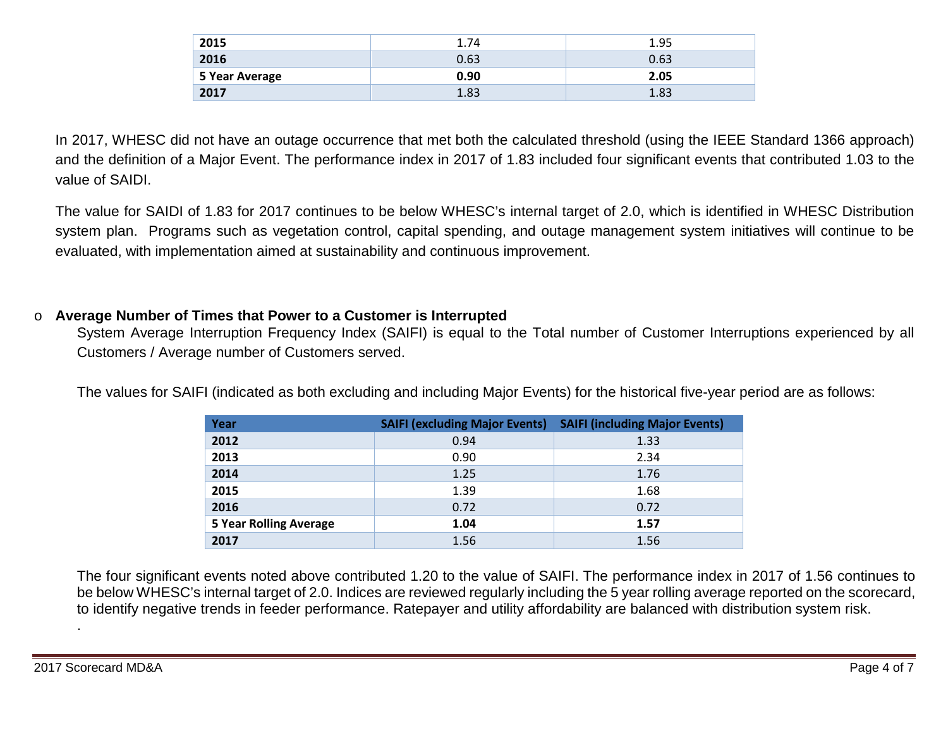| 2015           | 1.74 | 1.95 |
|----------------|------|------|
| 2016           | 0.63 | 0.63 |
| 5 Year Average | 0.90 | 2.05 |
| 2017           | 1.83 | 1.83 |

In 2017, WHESC did not have an outage occurrence that met both the calculated threshold (using the IEEE Standard 1366 approach) and the definition of a Major Event. The performance index in 2017 of 1.83 included four significant events that contributed 1.03 to the value of SAIDI.

The value for SAIDI of 1.83 for 2017 continues to be below WHESC's internal target of 2.0, which is identified in WHESC Distribution system plan. Programs such as vegetation control, capital spending, and outage management system initiatives will continue to be evaluated, with implementation aimed at sustainability and continuous improvement.

#### o **Average Number of Times that Power to a Customer is Interrupted**

System Average Interruption Frequency Index (SAIFI) is equal to the Total number of Customer Interruptions experienced by all Customers / Average number of Customers served.

| Year                          | <b>SAIFI (excluding Major Events)</b> | <b>SAIFI (including Major Events)</b> |
|-------------------------------|---------------------------------------|---------------------------------------|
| 2012                          | 0.94                                  | 1.33                                  |
| 2013                          | 0.90                                  | 2.34                                  |
| 2014                          | 1.25                                  | 1.76                                  |
| 2015                          | 1.39                                  | 1.68                                  |
| 2016                          | 0.72                                  | 0.72                                  |
| <b>5 Year Rolling Average</b> | 1.04                                  | 1.57                                  |
| 2017                          | 1.56                                  | 1.56                                  |

The values for SAIFI (indicated as both excluding and including Major Events) for the historical five-year period are as follows:

The four significant events noted above contributed 1.20 to the value of SAIFI. The performance index in 2017 of 1.56 continues to be below WHESC's internal target of 2.0. Indices are reviewed regularly including the 5 year rolling average reported on the scorecard, to identify negative trends in feeder performance. Ratepayer and utility affordability are balanced with distribution system risk.

.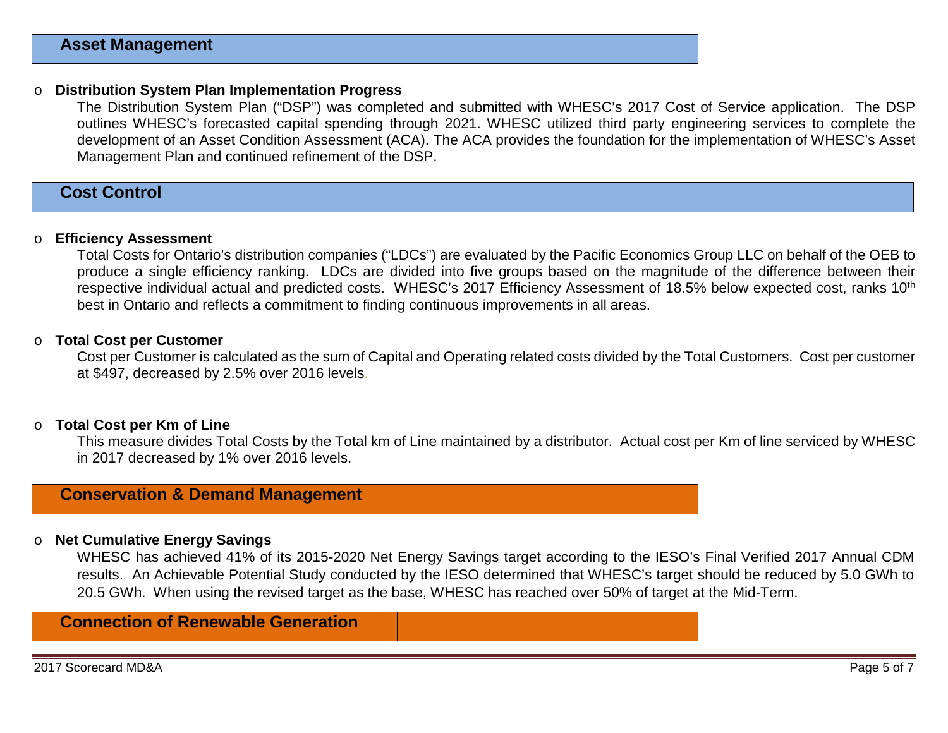#### o **Distribution System Plan Implementation Progress**

The Distribution System Plan ("DSP") was completed and submitted with WHESC's 2017 Cost of Service application. The DSP outlines WHESC's forecasted capital spending through 2021. WHESC utilized third party engineering services to complete the development of an Asset Condition Assessment (ACA). The ACA provides the foundation for the implementation of WHESC's Asset Management Plan and continued refinement of the DSP.

### **Cost Control**

#### o **Efficiency Assessment**

Total Costs for Ontario's distribution companies ("LDCs") are evaluated by the Pacific Economics Group LLC on behalf of the OEB to produce a single efficiency ranking. LDCs are divided into five groups based on the magnitude of the difference between their respective individual actual and predicted costs. WHESC's 2017 Efficiency Assessment of 18.5% below expected cost, ranks 10<sup>th</sup> best in Ontario and reflects a commitment to finding continuous improvements in all areas.

#### o **Total Cost per Customer**

Cost per Customer is calculated as the sum of Capital and Operating related costs divided by the Total Customers. Cost per customer at \$497, decreased by 2.5% over 2016 levels.

#### o **Total Cost per Km of Line**

This measure divides Total Costs by the Total km of Line maintained by a distributor. Actual cost per Km of line serviced by WHESC in 2017 decreased by 1% over 2016 levels.

# **Conservation & Demand Management**

#### o **Net Cumulative Energy Savings**

WHESC has achieved 41% of its 2015-2020 Net Energy Savings target according to the IESO's Final Verified 2017 Annual CDM results. An Achievable Potential Study conducted by the IESO determined that WHESC's target should be reduced by 5.0 GWh to 20.5 GWh. When using the revised target as the base, WHESC has reached over 50% of target at the Mid-Term.

# **Connection of Renewable Generation**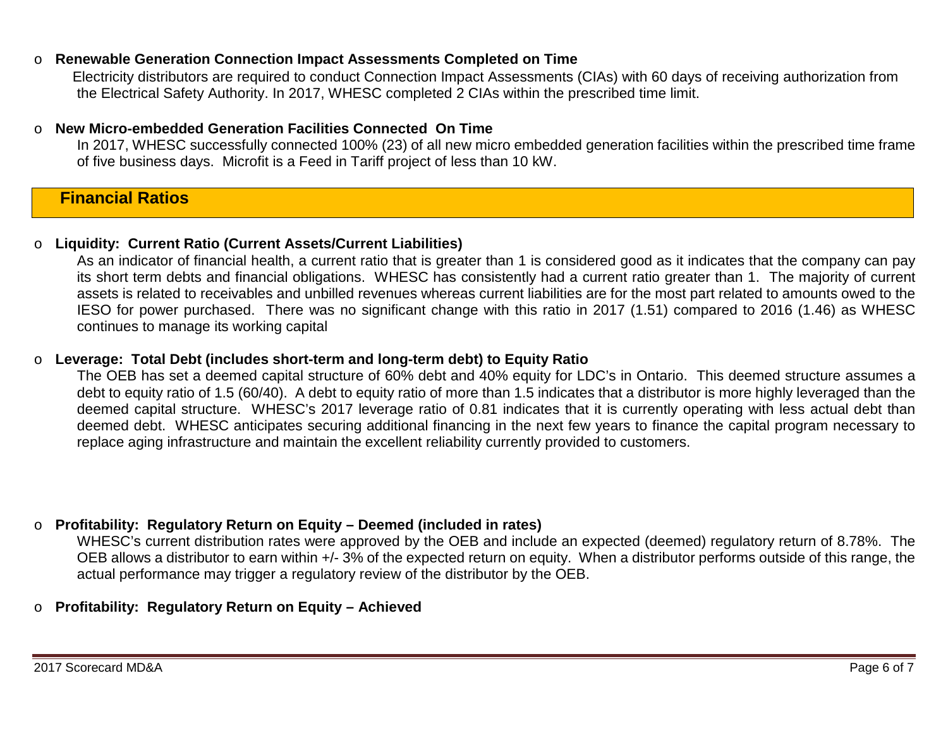#### o **Renewable Generation Connection Impact Assessments Completed on Time**

Electricity distributors are required to conduct Connection Impact Assessments (CIAs) with 60 days of receiving authorization from the Electrical Safety Authority. In 2017, WHESC completed 2 CIAs within the prescribed time limit.

#### o **New Micro-embedded Generation Facilities Connected On Time**

In 2017, WHESC successfully connected 100% (23) of all new micro embedded generation facilities within the prescribed time frame of five business days. Microfit is a Feed in Tariff project of less than 10 kW.

### **Financial Ratios**

#### o **Liquidity: Current Ratio (Current Assets/Current Liabilities)**

As an indicator of financial health, a current ratio that is greater than 1 is considered good as it indicates that the company can pay its short term debts and financial obligations. WHESC has consistently had a current ratio greater than 1. The majority of current assets is related to receivables and unbilled revenues whereas current liabilities are for the most part related to amounts owed to the IESO for power purchased. There was no significant change with this ratio in 2017 (1.51) compared to 2016 (1.46) as WHESC continues to manage its working capital

#### o **Leverage: Total Debt (includes short-term and long-term debt) to Equity Ratio**

The OEB has set a deemed capital structure of 60% debt and 40% equity for LDC's in Ontario. This deemed structure assumes a debt to equity ratio of 1.5 (60/40). A debt to equity ratio of more than 1.5 indicates that a distributor is more highly leveraged than the deemed capital structure. WHESC's 2017 leverage ratio of 0.81 indicates that it is currently operating with less actual debt than deemed debt. WHESC anticipates securing additional financing in the next few years to finance the capital program necessary to replace aging infrastructure and maintain the excellent reliability currently provided to customers.

#### o **Profitability: Regulatory Return on Equity – Deemed (included in rates)**

WHESC's current distribution rates were approved by the OEB and include an expected (deemed) regulatory return of 8.78%. The OEB allows a distributor to earn within +/- 3% of the expected return on equity. When a distributor performs outside of this range, the actual performance may trigger a regulatory review of the distributor by the OEB.

#### o **Profitability: Regulatory Return on Equity – Achieved**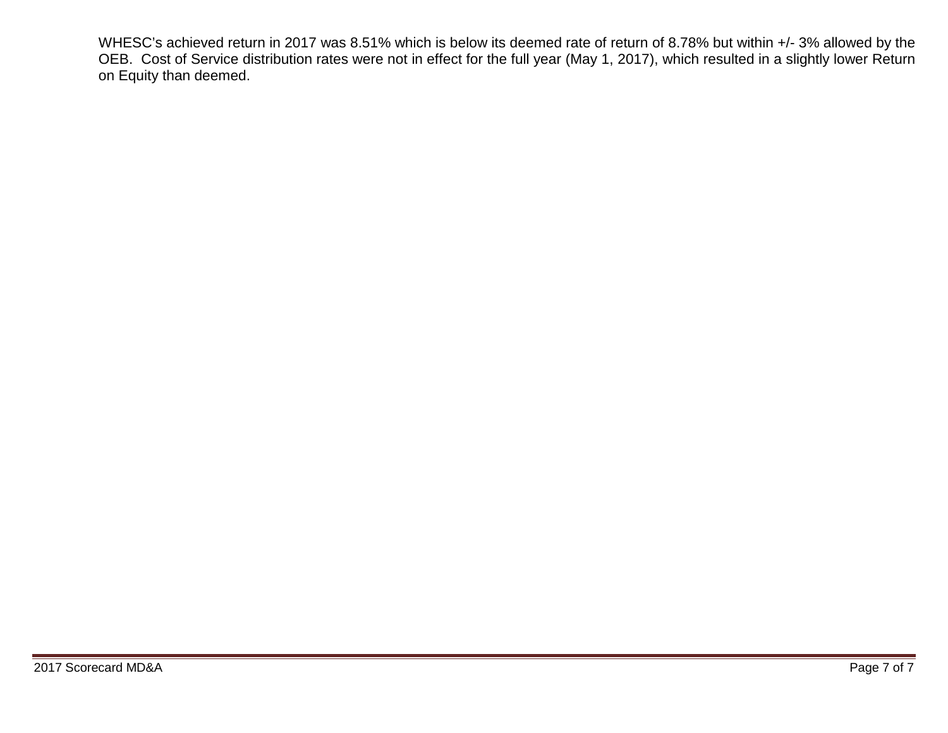WHESC's achieved return in 2017 was 8.51% which is below its deemed rate of return of 8.78% but within +/- 3% allowed by the OEB. Cost of Service distribution rates were not in effect for the full year (May 1, 2017), which resulted in a slightly lower Return on Equity than deemed.